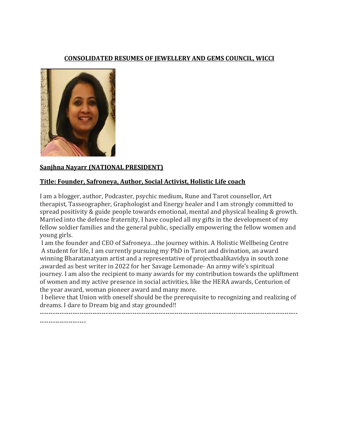#### **CONSOLIDATED RESUMES OF JEWELLERY AND GEMS COUNCIL, WICCI**



#### **Sanjhna Nayarr (NATIONAL PRESIDENT)**

#### **Title: Founder, Safroneya, Author, Social Activist, Holistic Life coach**

I am a blogger, author, Podcaster, psychic medium, Rune and Tarot counsellor, Art therapist, Tasseographer, Graphologist and Energy healer and I am strongly committed to spread positivity & guide people towards emotional, mental and physical healing & growth. Married into the defense fraternity, I have coupled all my gifts in the development of my fellow soldier families and the general public, specially empowering the fellow women and young girls.

I am the founder and CEO of Safroneya…the journey within. A Holistic Wellbeing Centre A student for life, I am currently pursuing my PhD in Tarot and divination, an award winning Bharatanatyam artist and a representative of projectbaalikavidya in south zone ,awarded as best writer in 2022 for her Savage Lemonade- An army wife's spiritual journey. I am also the recipient to many awards for my contribution towards the upliftment of women and my active presence in social activities, like the HERA awards, Centurion of the year award, woman pioneer award and many more.

I believe that Union with oneself should be the prerequisite to recognizing and realizing of dreams. I dare to Dream big and stay grounded!!

---------------------------------------------------------------------------------------------------------------------

---------------------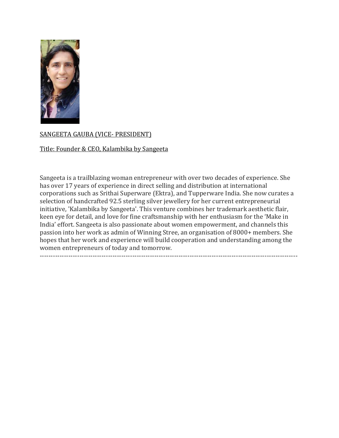

## SANGEETA GAUBA (VICE- PRESIDENT)

#### Title: Founder & CEO, Kalambika by Sangeeta

Sangeeta is a trailblazing woman entrepreneur with over two decades of experience. She has over 17 years of experience in direct selling and distribution at international corporations such as Srithai Superware (Ektra), and Tupperware India. She now curates a selection of handcrafted 92.5 sterling silver jewellery for her current entrepreneurial initiative, 'Kalambika by Sangeeta'. This venture combines her trademark aesthetic flair, keen eye for detail, and love for fine craftsmanship with her enthusiasm for the 'Make in India' effort. Sangeeta is also passionate about women empowerment, and channels this passion into her work as admin of Winning Stree, an organisation of 8000+ members. She hopes that her work and experience will build cooperation and understanding among the women entrepreneurs of today and tomorrow. ---------------------------------------------------------------------------------------------------------------------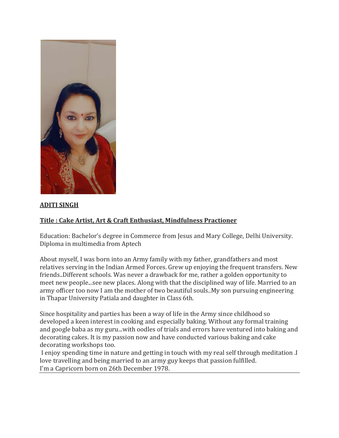

## **ADITI SINGH**

# **Title : Cake Artist, Art & Craft Enthusiast, Mindfulness Practioner**

Education: Bachelor's degree in Commerce from Jesus and Mary College, Delhi University. Diploma in multimedia from Aptech

About myself, I was born into an Army family with my father, grandfathers and most relatives serving in the Indian Armed Forces. Grew up enjoying the frequent transfers. New friends..Different schools. Was never a drawback for me, rather a golden opportunity to meet new people...see new places. Along with that the disciplined way of life. Married to an army officer too now I am the mother of two beautiful souls..My son pursuing engineering in Thapar University Patiala and daughter in Class 6th.

Since hospitality and parties has been a way of life in the Army since childhood so developed a keen interest in cooking and especially baking. Without any formal training and google baba as my guru...with oodles of trials and errors have ventured into baking and decorating cakes. It is my passion now and have conducted various baking and cake decorating workshops too.

I enjoy spending time in nature and getting in touch with my real self through meditation .I love travelling and being married to an army guy keeps that passion fulfilled. I'm a Capricorn born on 26th December 1978.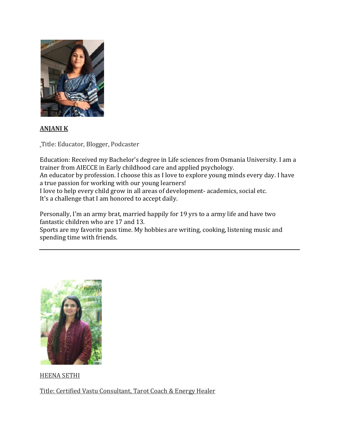

## **ANJANI K**

Title: Educator, Blogger, Podcaster

Education: Received my Bachelor's degree in Life sciences from Osmania University. I am a trainer from AIECCE in Early childhood care and applied psychology.

An educator by profession. I choose this as I love to explore young minds every day. I have a true passion for working with our young learners!

I love to help every child grow in all areas of development- academics, social etc. It's a challenge that I am honored to accept daily.

Personally, I'm an army brat, married happily for 19 yrs to a army life and have two fantastic children who are 17 and 13.

Sports are my favorite pass time. My hobbies are writing, cooking, listening music and spending time with friends.



HEENA SETHI

Title: Certified Vastu Consultant, Tarot Coach & Energy Healer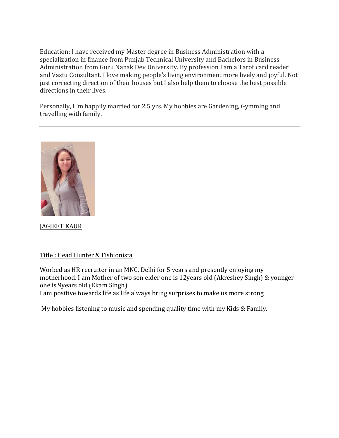Education: I have received my Master degree in Business Administration with a specialization in finance from Punjab Technical University and Bachelors in Business Administration from Guru Nanak Dev University. By profession I am a Tarot card reader and Vastu Consultant. I love making people's living environment more lively and joyful. Not just correcting direction of their houses but I also help them to choose the best possible directions in their lives.

Personally, I 'm happily married for 2.5 yrs. My hobbies are Gardening, Gymming and travelling with family.



JAGJEET KAUR

#### Title : Head Hunter & Fishionista

Worked as HR recruiter in an MNC, Delhi for 5 years and presently enjoying my motherhood. I am Mother of two son elder one is 12years old (Akreshey Singh) & younger one is 9years old (Ekam Singh)

I am positive towards life as life always bring surprises to make us more strong

My hobbies listening to music and spending quality time with my Kids & Family.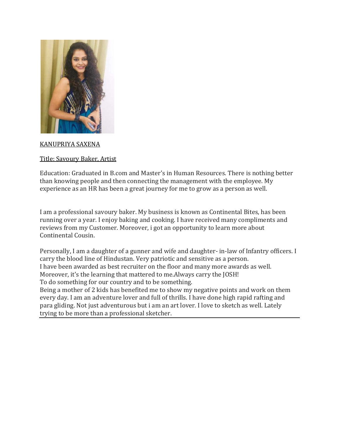

### KANUPRIYA SAXENA

#### Title: Savoury Baker, Artist

Education: Graduated in B.com and Master's in Human Resources. There is nothing better than knowing people and then connecting the management with the employee. My experience as an HR has been a great journey for me to grow as a person as well.

I am a professional savoury baker. My business is known as Continental Bites, has been running over a year. I enjoy baking and cooking. I have received many compliments and reviews from my Customer. Moreover, i got an opportunity to learn more about Continental Cousin.

Personally, I am a daughter of a gunner and wife and daughter- in-law of Infantry officers. I carry the blood line of Hindustan. Very patriotic and sensitive as a person. I have been awarded as best recruiter on the floor and many more awards as well. Moreover, it's the learning that mattered to me.Always carry the JOSH! To do something for our country and to be something.

Being a mother of 2 kids has benefited me to show my negative points and work on them every day. I am an adventure lover and full of thrills. I have done high rapid rafting and para gliding. Not just adventurous but i am an art lover. I love to sketch as well. Lately trying to be more than a professional sketcher.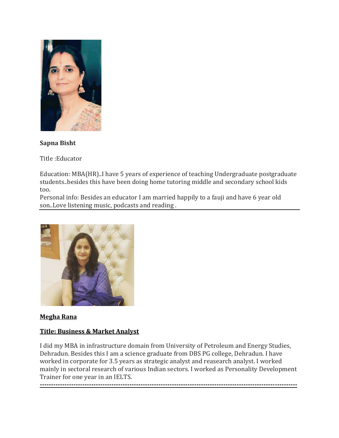

## **Sapna Bisht**

Title :Educator

Education: MBA(HR)..I have 5 years of experience of teaching Undergraduate postgraduate students..besides this have been doing home tutoring middle and secondary school kids too.

Personal info: Besides an educator I am married happily to a fauji and have 6 year old son..Love listening music, podcasts and reading .



#### **Megha Rana**

## **Title: Business & Market Analyst**

**-------------------------------------------------------------------------------------------------------------------**

I did my MBA in infrastructure domain from University of Petroleum and Energy Studies, Dehradun. Besides this I am a science graduate from DBS PG college, Dehradun. I have worked in corporate for 3.5 years as strategic analyst and reasearch analyst. I worked mainly in sectoral research of various Indian sectors. I worked as Personality Development Trainer for one year in an IELTS.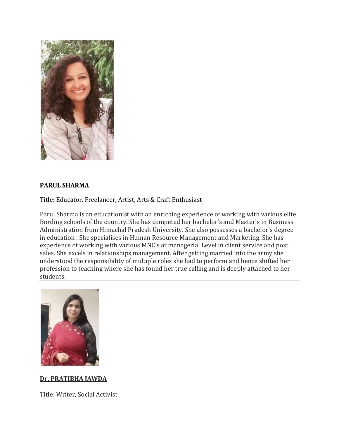

## **PARUL SHARMA**

Title: Educator, Freelancer, Artist, Arts & Craft Enthusiast

Parul Sharma is an educationist with an enriching experience of working with various elite Bording schools of the country. She has competed her bachelor's and Master's in Business Administration from Himachal Pradesh University. She also possesses a bachelor's degree in education . She specialises in Human Resource Management and Marketing. She has experience of working with various MNC's at managerial Level in client service and post sales. She excels in relationships management. After getting married into the army she understood the responsibility of multiple roles she had to perform and hence shifted her profession to teaching where she has found her true calling and is deeply attached to her students.



#### **Dr. PRATIBHA JAWDA**

Title: Writer, Social Activist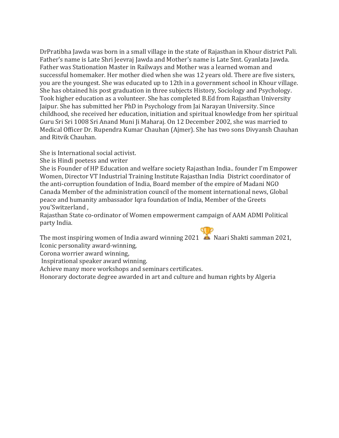DrPratibha Jawda was born in a small village in the state of Rajasthan in Khour district Pali. Father's name is Late Shri Jeevraj Jawda and Mother's name is Late Smt. Gyanlata Jawda. Father was Stationation Master in Railways and Mother was a learned woman and successful homemaker. Her mother died when she was 12 years old. There are five sisters, you are the youngest. She was educated up to 12th in a government school in Khour village. She has obtained his post graduation in three subjects History, Sociology and Psychology. Took higher education as a volunteer. She has completed B.Ed from Rajasthan University Jaipur. She has submitted her PhD in Psychology from Jai Narayan University. Since childhood, she received her education, initiation and spiritual knowledge from her spiritual Guru Sri Sri 1008 Sri Anand Muni Ji Maharaj. On 12 December 2002, she was married to Medical Officer Dr. Rupendra Kumar Chauhan (Ajmer). She has two sons Divyansh Chauhan and Ritvik Chauhan.

She is International social activist.

She is Hindi poetess and writer

She is Founder of HP Education and welfare society Rajasthan India.. founder I'm Empower Women, Director VT Industrial Training Institute Rajasthan India District coordinator of the anti-corruption foundation of India, Board member of the empire of Madani NGO Canada Member of the administration council of the moment international news, Global peace and humanity ambassador Iqra foundation of India, Member of the Greets you'Switzerland ,

Rajasthan State co-ordinator of Women empowerment campaign of AAM ADMI Political party India.

The most inspiring women of India award winning 2021  $\triangle$  Naari Shakti samman 2021, Iconic personality award-winning,

Corona worrier award winning,

Inspirational speaker award winning.

Achieve many more workshops and seminars certificates.

Honorary doctorate degree awarded in art and culture and human rights by Algeria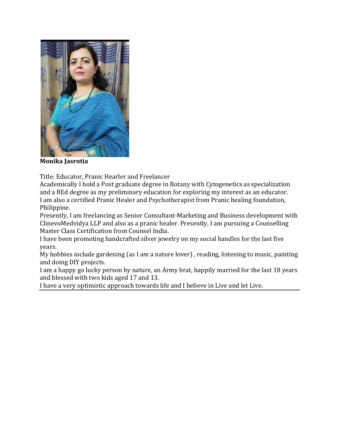

**Monika Jasrotia**

Title: Educator, Pranic Hearler and Freelancer

Academically I hold a Post graduate degree in Botany with Cytogenetics as specialization and a BEd degree as my preliminary education for exploring my interest as an educator. I am also a certified Pranic Healer and Psychotherapist from Pranic healing foundation, Philippine.

Presently, I am freelancing as Senior Consultant-Marketing and Business development with ClinevoMedvidya LLP and also as a pranic healer. Presently, I am pursuing a Counselling Master Class Certification from Counsel India.

I have been promoting handcrafted silver jewelry on my social handles for the last five years.

My hobbies include gardening (as I am a nature lover) , reading, listening to music, painting and doing DIY projects.

I am a happy go lucky person by nature, an Army brat, happily married for the last 18 years and blessed with two kids aged 17 and 13.

I have a very optimistic approach towards life and I believe in Live and let Live.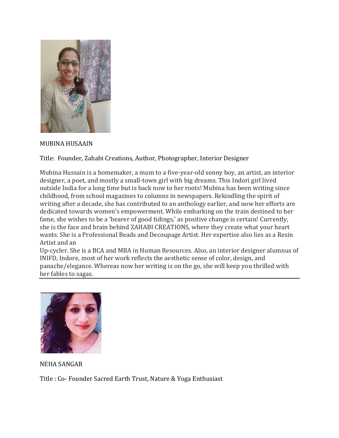

#### MUBINA HUSAAIN

Title: Founder, Zahabi Creations, Author, Photographer, Interior Designer

Mubina Hussain is a homemaker, a mum to a five-year-old sonny boy, an artist, an interior designer, a poet, and mostly a small-town girl with big dreams. This Indori girl lived outside India for a long time but is back now to her roots! Mubina has been writing since childhood, from school magazines to columns in newspapers. Rekindling the spirit of writing after a decade, she has contributed to an anthology earlier, and now her efforts are dedicated towards women's empowerment. While embarking on the train destined to her fame, she wishes to be a 'bearer of good tidings,' as positive change is certain! Currently, she is the face and brain behind ZAHABI CREATIONS, where they create what your heart wants. She is a Professional Beads and Decoupage Artist. Her expertise also lies as a Resin Artist and an

Up-cycler. She is a BCA and MBA in Human Resources. Also, an interior designer alumnus of INIFD, Indore, most of her work reflects the aesthetic sense of color, design, and panache/elegance. Whereas now her writing is on the go, she will keep you thrilled with her fables to sagas.



NEHA SANGAR

Title : Co- Founder Sacred Earth Trust, Nature & Yoga Enthusiast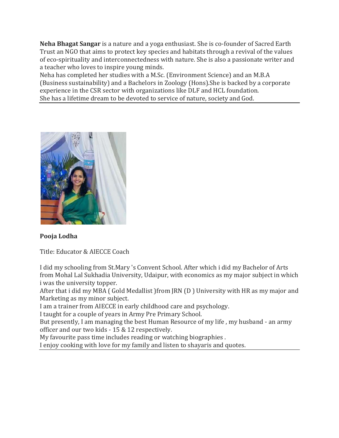**Neha Bhagat Sangar** is a nature and a yoga enthusiast. She is co-founder of Sacred Earth Trust an NGO that aims to protect key species and habitats through a revival of the values of eco-spirituality and interconnectedness with nature. She is also a passionate writer and a teacher who loves to inspire young minds.

Neha has completed her studies with a M.Sc. (Environment Science) and an M.B.A (Business sustainability) and a Bachelors in Zoology (Hons).She is backed by a corporate experience in the CSR sector with organizations like DLF and HCL foundation. She has a lifetime dream to be devoted to service of nature, society and God.



## **Pooja Lodha**

Title: Educator & AIECCE Coach

I did my schooling from St.Mary 's Convent School. After which i did my Bachelor of Arts from Mohal Lal Sukhadia University, Udaipur, with economics as my major subject in which i was the university topper.

After that i did my MBA ( Gold Medallist )from JRN (D ) University with HR as my major and Marketing as my minor subject.

I am a trainer from AIECCE in early childhood care and psychology.

I taught for a couple of years in Army Pre Primary School.

But presently, I am managing the best Human Resource of my life , my husband - an army officer and our two kids - 15 & 12 respectively.

My favourite pass time includes reading or watching biographies .

I enjoy cooking with love for my family and listen to shayaris and quotes.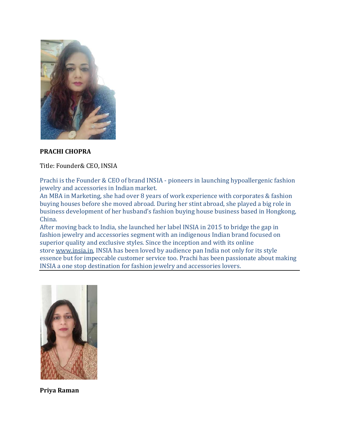

#### **PRACHI CHOPRA**

Title: Founder& CEO, INSIA

Prachi is the Founder & CEO of brand INSIA - pioneers in launching hypoallergenic fashion jewelry and accessories in Indian market.

An MBA in Marketing, she had over 8 years of work experience with corporates & fashion buying houses before she moved abroad. During her stint abroad, she played a big role in business development of her husband's fashion buying house business based in Hongkong, China.

After moving back to India, she launched her label INSIA in 2015 to bridge the gap in fashion jewelry and accessories segment with an indigenous Indian brand focused on superior quality and exclusive styles. Since the inception and with its online store [www.insia.in,](http://www.insia.in/) INSIA has been loved by audience pan India not only for its style essence but for impeccable customer service too. Prachi has been passionate about making INSIA a one stop destination for fashion jewelry and accessories lovers.



**Priya Raman**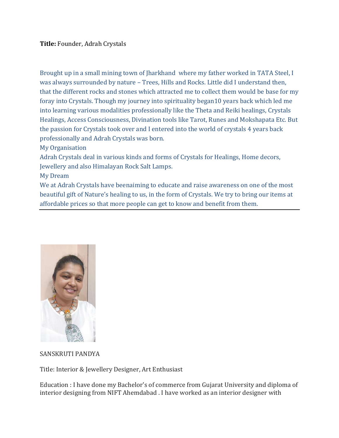Brought up in a small mining town of Jharkhand where my father worked in TATA Steel, I was always surrounded by nature – Trees, Hills and Rocks. Little did I understand then, that the different rocks and stones which attracted me to collect them would be base for my foray into Crystals. Though my journey into spirituality began10 years back which led me into learning various modalities professionally like the Theta and Reiki healings, Crystals Healings, Access Consciousness, Divination tools like Tarot, Runes and Mokshapata Etc. But the passion for Crystals took over and I entered into the world of crystals 4 years back professionally and Adrah Crystals was born.

My Organisation

Adrah Crystals deal in various kinds and forms of Crystals for Healings, Home decors, Jewellery and also Himalayan Rock Salt Lamps.

My Dream

We at Adrah Crystals have beenaiming to educate and raise awareness on one of the most beautiful gift of Nature's healing to us, in the form of Crystals. We try to bring our items at affordable prices so that more people can get to know and benefit from them.



#### SANSKRUTI PANDYA

Title: Interior & Jewellery Designer, Art Enthusiast

Education : I have done my Bachelor's of commerce from Gujarat University and diploma of interior designing from NIFT Ahemdabad . I have worked as an interior designer with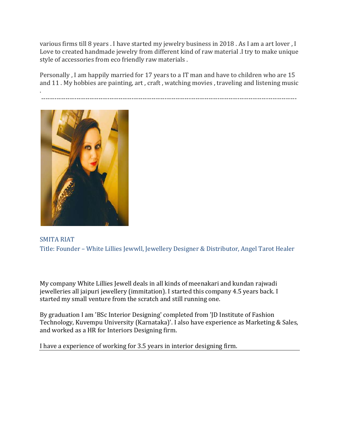various firms till 8 years . I have started my jewelry business in 2018 . As I am a art lover , I Love to created handmade jewelry from different kind of raw material .I try to make unique style of accessories from eco friendly raw materials .

Personally , I am happily married for 17 years to a IT man and have to children who are 15 and 11 . My hobbies are painting, art , craft , watching movies , traveling and listening music

. --------------------------------------------------------------------------------------------------------------------



SMITA RIAT Title: Founder – White Lillies Jewwll, Jewellery Designer & Distributor, Angel Tarot Healer

My company White Lillies Jewell deals in all kinds of meenakari and kundan rajwadi jewelleries all jaipuri jewellery (immitation). I started this company 4.5 years back. I started my small venture from the scratch and still running one.

By graduation I am 'BSc Interior Designing' completed from 'JD Institute of Fashion Technology, Kuvempu University (Karnataka)'. I also have experience as Marketing & Sales, and worked as a HR for Interiors Designing firm.

I have a experience of working for 3.5 years in interior designing firm.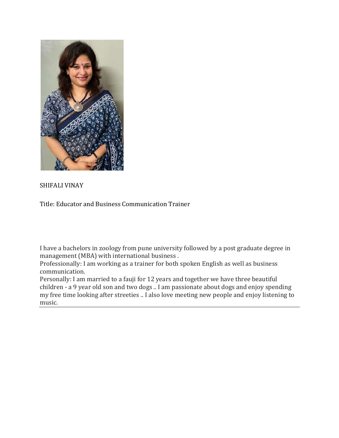

## SHIFALI VINAY

Title: Educator and Business Communication Trainer

I have a bachelors in zoology from pune university followed by a post graduate degree in management (MBA) with international business .

Professionally: I am working as a trainer for both spoken English as well as business communication.

Personally: I am married to a fauji for 12 years and together we have three beautiful children - a 9 year old son and two dogs .. I am passionate about dogs and enjoy spending my free time looking after streeties .. I also love meeting new people and enjoy listening to music.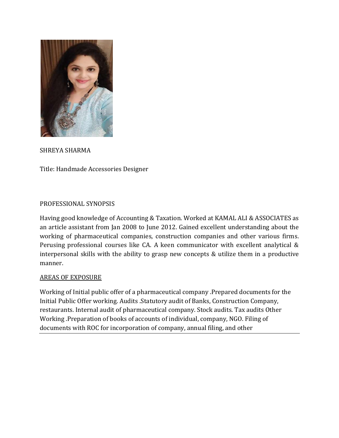

SHREYA SHARMA

Title: Handmade Accessories Designer

#### PROFESSIONAL SYNOPSIS

Having good knowledge of Accounting & Taxation. Worked at KAMAL ALI & ASSOCIATES as an article assistant from Jan 2008 to June 2012. Gained excellent understanding about the working of pharmaceutical companies, construction companies and other various firms. Perusing professional courses like CA. A keen communicator with excellent analytical & interpersonal skills with the ability to grasp new concepts & utilize them in a productive manner.

#### AREAS OF EXPOSURE

Working of Initial public offer of a pharmaceutical company .Prepared documents for the Initial Public Offer working. Audits .Statutory audit of Banks, Construction Company, restaurants. Internal audit of pharmaceutical company. Stock audits. Tax audits Other Working .Preparation of books of accounts of individual, company, NGO. Filing of documents with ROC for incorporation of company, annual filing, and other